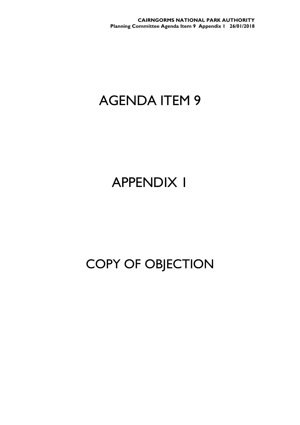**CAIRNGORMS NATIONAL PARK AUTHORITY Planning Committee Agenda Item 9 Appendix 1 26/01/2018**

## AGENDA ITEM 9

## APPENDIX 1

## COPY OF OBJECTION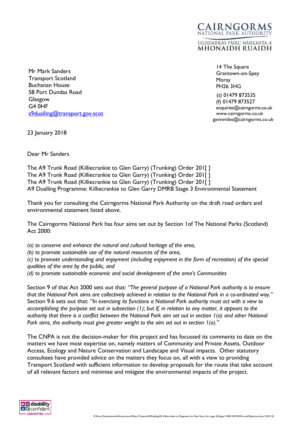Mr Mark Sanders Transport Scotland Buchanan House 58 Port Dundas Road Glasgow G4 0HF [a9dualling@transport.gov.scot](mailto:a9dualling@transport.gov.scot)

 14 The Square Grantown-on-Spey Moray PH26 3HG

CAIRNGORMS NATIONAL PARK AUTHORITY ÙGHDARRAS PÀIRC NÀISEANTA A' **MHONAIDH RUAIDH** 

> (t) 01479 873535 (f) 01479 873527 [enquiries@cairngorms.co.uk](mailto:enquiries@cairngorms.co.uk) www.cairngorms.co.uk gavinmiles@cairngorms.co.uk

23 January 2018

Dear Mr Sanders

The A9 Trunk Road (Killiecrankie to Glen Garry) (Trunking) Order 201[ ] The A9 Trunk Road (Killiecrankie to Glen Garry) (Trunking) Order 201[ ] The A9 Trunk Road (Killiecrankie to Glen Garry) (Trunking) Order 201[ ] A9 Dualling Programme: Killiecrankie to Glen Garry DMRB Stage 3 Environmental Statement

Thank you for consulting the Cairngorms National Park Authority on the draft road orders and environmental statement listed above.

The Cairngorms National Park has four aims set out by Section 1of The National Parks (Scotland) Act 2000:

*(a) to conserve and enhance the natural and cultural heritage of the area,*

*(b) to promote sustainable use of the natural resources of the area,*

*(c) to promote understanding and enjoyment (including enjoyment in the form of recreation) of the special qualities of the area by the public, and*

*(d) to promote sustainable economic and social development of the area's Communities*

Section 9 of that Act 2000 sets out that: *"The general purpose of a National Park authority is to ensure that the National Park aims are collectively achieved in relation to the National Park in a co-ordinated way."* Section 9.6 sets out that: *"In exercising its functions a National Park authority must act with a view to accomplishing the purpose set out in subsection (1); but if, in relation to any matter, it appears to the authority that there is a conflict between the National Park aim set out in section 1(a) and other National Park aims, the authority must give greater weight to the aim set out in section 1(a)."*

The CNPA is not the decision-maker for this project and has focussed its comments to date on the matters we have most expertise on, namely matters of Community and Private Assets, Outdoor Access, Ecology and Nature Conservation and Landscape and Visual impacts. Other statutory consultees have provided advice on the matters they focus on, all with a view to providing Transport Scotland with sufficient information to develop proposals for the route that take account of all relevant factors and minimise and mitigate the environmental impacts of the project.